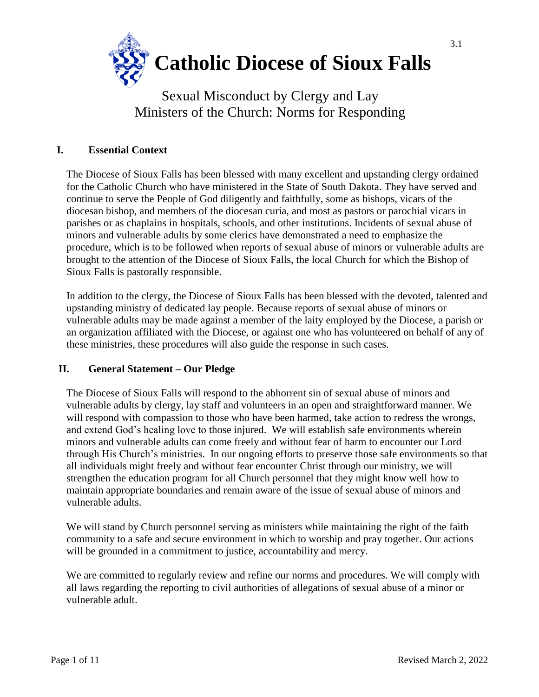

# Sexual Misconduct by Clergy and Lay Ministers of the Church: Norms for Responding

## **I. Essential Context**

The Diocese of Sioux Falls has been blessed with many excellent and upstanding clergy ordained for the Catholic Church who have ministered in the State of South Dakota. They have served and continue to serve the People of God diligently and faithfully, some as bishops, vicars of the diocesan bishop, and members of the diocesan curia, and most as pastors or parochial vicars in parishes or as chaplains in hospitals, schools, and other institutions. Incidents of sexual abuse of minors and vulnerable adults by some clerics have demonstrated a need to emphasize the procedure, which is to be followed when reports of sexual abuse of minors or vulnerable adults are brought to the attention of the Diocese of Sioux Falls, the local Church for which the Bishop of Sioux Falls is pastorally responsible.

In addition to the clergy, the Diocese of Sioux Falls has been blessed with the devoted, talented and upstanding ministry of dedicated lay people. Because reports of sexual abuse of minors or vulnerable adults may be made against a member of the laity employed by the Diocese, a parish or an organization affiliated with the Diocese, or against one who has volunteered on behalf of any of these ministries, these procedures will also guide the response in such cases.

## **II. General Statement – Our Pledge**

The Diocese of Sioux Falls will respond to the abhorrent sin of sexual abuse of minors and vulnerable adults by clergy, lay staff and volunteers in an open and straightforward manner. We will respond with compassion to those who have been harmed, take action to redress the wrongs, and extend God's healing love to those injured. We will establish safe environments wherein minors and vulnerable adults can come freely and without fear of harm to encounter our Lord through His Church's ministries. In our ongoing efforts to preserve those safe environments so that all individuals might freely and without fear encounter Christ through our ministry, we will strengthen the education program for all Church personnel that they might know well how to maintain appropriate boundaries and remain aware of the issue of sexual abuse of minors and vulnerable adults.

We will stand by Church personnel serving as ministers while maintaining the right of the faith community to a safe and secure environment in which to worship and pray together. Our actions will be grounded in a commitment to justice, accountability and mercy.

We are committed to regularly review and refine our norms and procedures. We will comply with all laws regarding the reporting to civil authorities of allegations of sexual abuse of a minor or vulnerable adult.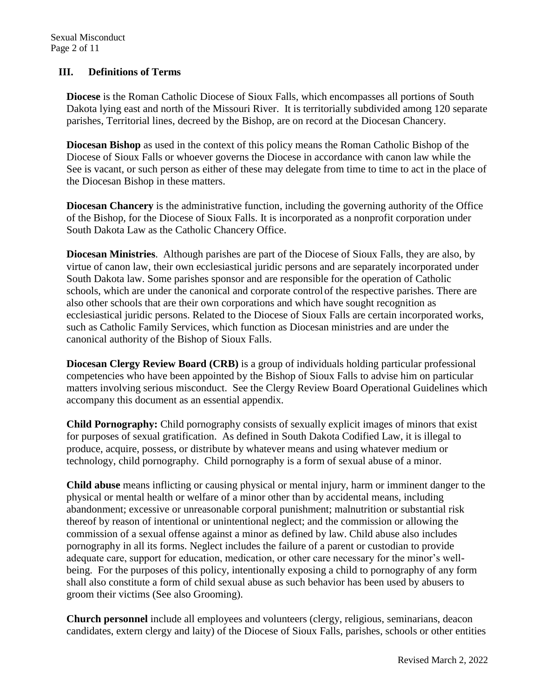## **III. Definitions of Terms**

**Diocese** is the Roman Catholic Diocese of Sioux Falls, which encompasses all portions of South Dakota lying east and north of the Missouri River. It is territorially subdivided among 120 separate parishes, Territorial lines, decreed by the Bishop, are on record at the Diocesan Chancery.

**Diocesan Bishop** as used in the context of this policy means the Roman Catholic Bishop of the Diocese of Sioux Falls or whoever governs the Diocese in accordance with canon law while the See is vacant, or such person as either of these may delegate from time to time to act in the place of the Diocesan Bishop in these matters.

**Diocesan Chancery** is the administrative function, including the governing authority of the Office of the Bishop, for the Diocese of Sioux Falls. It is incorporated as a nonprofit corporation under South Dakota Law as the Catholic Chancery Office.

**Diocesan Ministries**. Although parishes are part of the Diocese of Sioux Falls, they are also, by virtue of canon law, their own ecclesiastical juridic persons and are separately incorporated under South Dakota law. Some parishes sponsor and are responsible for the operation of Catholic schools, which are under the canonical and corporate control of the respective parishes. There are also other schools that are their own corporations and which have sought recognition as ecclesiastical juridic persons. Related to the Diocese of Sioux Falls are certain incorporated works, such as Catholic Family Services, which function as Diocesan ministries and are under the canonical authority of the Bishop of Sioux Falls.

**Diocesan Clergy Review Board (CRB)** is a group of individuals holding particular professional competencies who have been appointed by the Bishop of Sioux Falls to advise him on particular matters involving serious misconduct. See the Clergy Review Board Operational Guidelines which accompany this document as an essential appendix.

**Child Pornography:** Child pornography consists of sexually explicit images of minors that exist for purposes of sexual gratification. As defined in South Dakota Codified Law, it is illegal to produce, acquire, possess, or distribute by whatever means and using whatever medium or technology, child pornography. Child pornography is a form of sexual abuse of a minor.

**Child abuse** means inflicting or causing physical or mental injury, harm or imminent danger to the physical or mental health or welfare of a minor other than by accidental means, including abandonment; excessive or unreasonable corporal punishment; malnutrition or substantial risk thereof by reason of intentional or unintentional neglect; and the commission or allowing the commission of a sexual offense against a minor as defined by law. Child abuse also includes pornography in all its forms. Neglect includes the failure of a parent or custodian to provide adequate care, support for education, medication, or other care necessary for the minor's wellbeing. For the purposes of this policy, intentionally exposing a child to pornography of any form shall also constitute a form of child sexual abuse as such behavior has been used by abusers to groom their victims (See also Grooming).

**Church personnel** include all employees and volunteers (clergy, religious, seminarians, deacon candidates, extern clergy and laity) of the Diocese of Sioux Falls, parishes, schools or other entities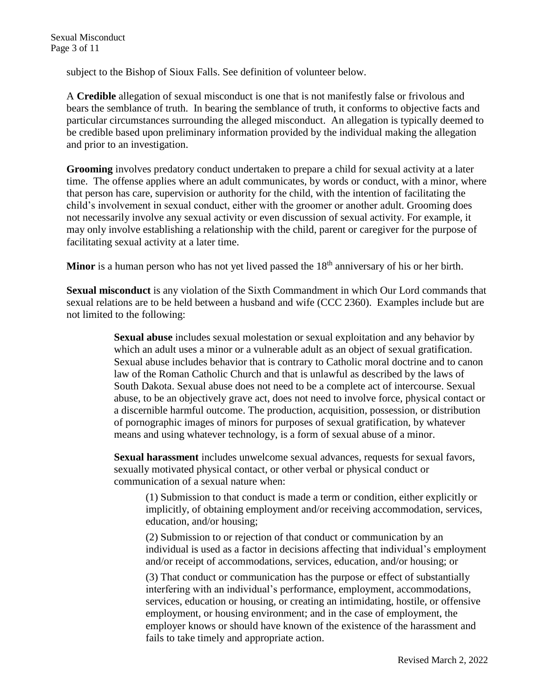subject to the Bishop of Sioux Falls. See definition of volunteer below.

A **Credible** allegation of sexual misconduct is one that is not manifestly false or frivolous and bears the semblance of truth. In bearing the semblance of truth, it conforms to objective facts and particular circumstances surrounding the alleged misconduct. An allegation is typically deemed to be credible based upon preliminary information provided by the individual making the allegation and prior to an investigation.

**Grooming** involves predatory conduct undertaken to prepare a child for sexual activity at a later time. The offense applies where an adult communicates, by words or conduct, with a minor, where that person has care, supervision or authority for the child, with the intention of facilitating the child's involvement in sexual conduct, either with the groomer or another adult. Grooming does not necessarily involve any sexual activity or even discussion of sexual activity. For example, it may only involve establishing a relationship with the child, parent or caregiver for the purpose of facilitating sexual activity at a later time.

Minor is a human person who has not yet lived passed the 18<sup>th</sup> anniversary of his or her birth.

**Sexual misconduct** is any violation of the Sixth Commandment in which Our Lord commands that sexual relations are to be held between a husband and wife (CCC 2360). Examples include but are not limited to the following:

> **Sexual abuse** includes sexual molestation or sexual exploitation and any behavior by which an adult uses a minor or a vulnerable adult as an object of sexual gratification. Sexual abuse includes behavior that is contrary to Catholic moral doctrine and to canon law of the Roman Catholic Church and that is unlawful as described by the laws of South Dakota. Sexual abuse does not need to be a complete act of intercourse. Sexual abuse, to be an objectively grave act, does not need to involve force, physical contact or a discernible harmful outcome. The production, acquisition, possession, or distribution of pornographic images of minors for purposes of sexual gratification, by whatever means and using whatever technology, is a form of sexual abuse of a minor.

**Sexual harassment** includes unwelcome sexual advances, requests for sexual favors, sexually motivated physical contact, or other verbal or physical conduct or communication of a sexual nature when:

(1) Submission to that conduct is made a term or condition, either explicitly or implicitly, of obtaining employment and/or receiving accommodation, services, education, and/or housing;

(2) Submission to or rejection of that conduct or communication by an individual is used as a factor in decisions affecting that individual's employment and/or receipt of accommodations, services, education, and/or housing; or

(3) That conduct or communication has the purpose or effect of substantially interfering with an individual's performance, employment, accommodations, services, education or housing, or creating an intimidating, hostile, or offensive employment, or housing environment; and in the case of employment, the employer knows or should have known of the existence of the harassment and fails to take timely and appropriate action.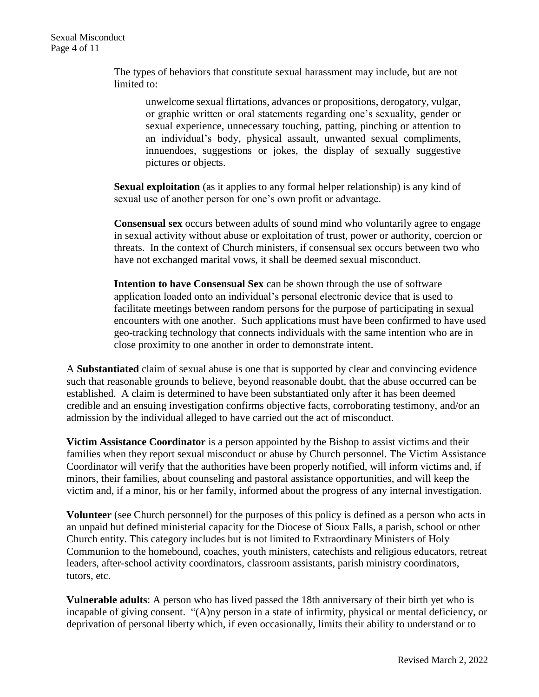The types of behaviors that constitute sexual harassment may include, but are not limited to:

unwelcome sexual flirtations, advances or propositions, derogatory, vulgar, or graphic written or oral statements regarding one's sexuality, gender or sexual experience, unnecessary touching, patting, pinching or attention to an individual's body, physical assault, unwanted sexual compliments, innuendoes, suggestions or jokes, the display of sexually suggestive pictures or objects.

**Sexual exploitation** (as it applies to any formal helper relationship) is any kind of sexual use of another person for one's own profit or advantage.

**Consensual sex** occurs between adults of sound mind who voluntarily agree to engage in sexual activity without abuse or exploitation of trust, power or authority, coercion or threats. In the context of Church ministers, if consensual sex occurs between two who have not exchanged marital vows, it shall be deemed sexual misconduct.

**Intention to have Consensual Sex** can be shown through the use of software application loaded onto an individual's personal electronic device that is used to facilitate meetings between random persons for the purpose of participating in sexual encounters with one another. Such applications must have been confirmed to have used geo-tracking technology that connects individuals with the same intention who are in close proximity to one another in order to demonstrate intent.

A **Substantiated** claim of sexual abuse is one that is supported by clear and convincing evidence such that reasonable grounds to believe, beyond reasonable doubt, that the abuse occurred can be established. A claim is determined to have been substantiated only after it has been deemed credible and an ensuing investigation confirms objective facts, corroborating testimony, and/or an admission by the individual alleged to have carried out the act of misconduct.

**Victim Assistance Coordinator** is a person appointed by the Bishop to assist victims and their families when they report sexual misconduct or abuse by Church personnel. The Victim Assistance Coordinator will verify that the authorities have been properly notified, will inform victims and, if minors, their families, about counseling and pastoral assistance opportunities, and will keep the victim and, if a minor, his or her family, informed about the progress of any internal investigation.

**Volunteer** (see Church personnel) for the purposes of this policy is defined as a person who acts in an unpaid but defined ministerial capacity for the Diocese of Sioux Falls, a parish, school or other Church entity. This category includes but is not limited to Extraordinary Ministers of Holy Communion to the homebound, coaches, youth ministers, catechists and religious educators, retreat leaders, after-school activity coordinators, classroom assistants, parish ministry coordinators, tutors, etc.

**Vulnerable adults**: A person who has lived passed the 18th anniversary of their birth yet who is incapable of giving consent. "(A)ny person in a state of infirmity, physical or mental deficiency, or deprivation of personal liberty which, if even occasionally, limits their ability to understand or to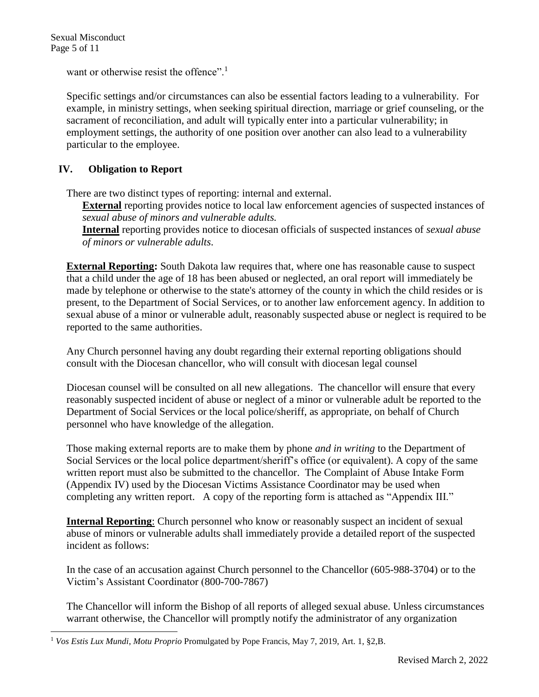l

want or otherwise resist the offence".<sup>1</sup>

Specific settings and/or circumstances can also be essential factors leading to a vulnerability. For example, in ministry settings, when seeking spiritual direction, marriage or grief counseling, or the sacrament of reconciliation, and adult will typically enter into a particular vulnerability; in employment settings, the authority of one position over another can also lead to a vulnerability particular to the employee.

## **IV. Obligation to Report**

There are two distinct types of reporting: internal and external.

**External** reporting provides notice to local law enforcement agencies of suspected instances of *sexual abuse of minors and vulnerable adults.*

**Internal** reporting provides notice to diocesan officials of suspected instances of *sexual abuse of minors or vulnerable adults*.

**External Reporting:** South Dakota law requires that, where one has reasonable cause to suspect that a child under the age of 18 has been abused or neglected, an oral report will immediately be made by telephone or otherwise to the state's attorney of the county in which the child resides or is present, to the Department of Social Services, or to another law enforcement agency. In addition to sexual abuse of a minor or vulnerable adult, reasonably suspected abuse or neglect is required to be reported to the same authorities.

Any Church personnel having any doubt regarding their external reporting obligations should consult with the Diocesan chancellor, who will consult with diocesan legal counsel

Diocesan counsel will be consulted on all new allegations. The chancellor will ensure that every reasonably suspected incident of abuse or neglect of a minor or vulnerable adult be reported to the Department of Social Services or the local police/sheriff, as appropriate, on behalf of Church personnel who have knowledge of the allegation.

Those making external reports are to make them by phone *and in writing* to the Department of Social Services or the local police department/sheriff's office (or equivalent). A copy of the same written report must also be submitted to the chancellor. The Complaint of Abuse Intake Form (Appendix IV) used by the Diocesan Victims Assistance Coordinator may be used when completing any written report. A copy of the reporting form is attached as "Appendix III."

**Internal Reporting**: Church personnel who know or reasonably suspect an incident of sexual abuse of minors or vulnerable adults shall immediately provide a detailed report of the suspected incident as follows:

In the case of an accusation against Church personnel to the Chancellor (605-988-3704) or to the Victim's Assistant Coordinator (800-700-7867)

The Chancellor will inform the Bishop of all reports of alleged sexual abuse. Unless circumstances warrant otherwise, the Chancellor will promptly notify the administrator of any organization

<sup>1</sup> *Vos Estis Lux Mundi*, *Motu Proprio* Promulgated by Pope Francis, May 7, 2019, Art. 1, §2,B.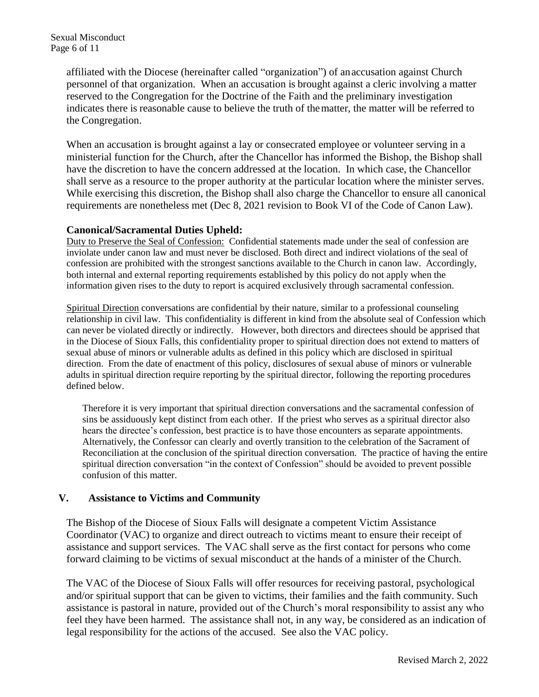affiliated with the Diocese (hereinafter called "organization") of anaccusation against Church personnel of that organization. When an accusation is brought against a cleric involving a matter reserved to the Congregation for the Doctrine of the Faith and the preliminary investigation indicates there is reasonable cause to believe the truth of thematter, the matter will be referred to the Congregation.

When an accusation is brought against a lay or consecrated employee or volunteer serving in a ministerial function for the Church, after the Chancellor has informed the Bishop, the Bishop shall have the discretion to have the concern addressed at the location. In which case, the Chancellor shall serve as a resource to the proper authority at the particular location where the minister serves. While exercising this discretion, the Bishop shall also charge the Chancellor to ensure all canonical requirements are nonetheless met (Dec 8, 2021 revision to Book VI of the Code of Canon Law).

#### **Canonical/Sacramental Duties Upheld:**

Duty to Preserve the Seal of Confession: Confidential statements made under the seal of confession are inviolate under canon law and must never be disclosed. Both direct and indirect violations of the seal of confession are prohibited with the strongest sanctions available to the Church in canon law. Accordingly, both internal and external reporting requirements established by this policy do not apply when the information given rises to the duty to report is acquired exclusively through sacramental confession.

Spiritual Direction conversations are confidential by their nature, similar to a professional counseling relationship in civil law. This confidentiality is different in kind from the absolute seal of Confession which can never be violated directly or indirectly. However, both directors and directees should be apprised that in the Diocese of Sioux Falls, this confidentiality proper to spiritual direction does not extend to matters of sexual abuse of minors or vulnerable adults as defined in this policy which are disclosed in spiritual direction. From the date of enactment of this policy, disclosures of sexual abuse of minors or vulnerable adults in spiritual direction require reporting by the spiritual director, following the reporting procedures defined below.

Therefore it is very important that spiritual direction conversations and the sacramental confession of sins be assiduously kept distinct from each other. If the priest who serves as a spiritual director also hears the directee's confession, best practice is to have those encounters as separate appointments. Alternatively, the Confessor can clearly and overtly transition to the celebration of the Sacrament of Reconciliation at the conclusion of the spiritual direction conversation. The practice of having the entire spiritual direction conversation "in the context of Confession" should be avoided to prevent possible confusion of this matter.

## **V. Assistance to Victims and Community**

The Bishop of the Diocese of Sioux Falls will designate a competent Victim Assistance Coordinator (VAC) to organize and direct outreach to victims meant to ensure their receipt of assistance and support services. The VAC shall serve as the first contact for persons who come forward claiming to be victims of sexual misconduct at the hands of a minister of the Church.

The VAC of the Diocese of Sioux Falls will offer resources for receiving pastoral, psychological and/or spiritual support that can be given to victims, their families and the faith community. Such assistance is pastoral in nature, provided out of the Church's moral responsibility to assist any who feel they have been harmed. The assistance shall not, in any way, be considered as an indication of legal responsibility for the actions of the accused. See also the VAC policy.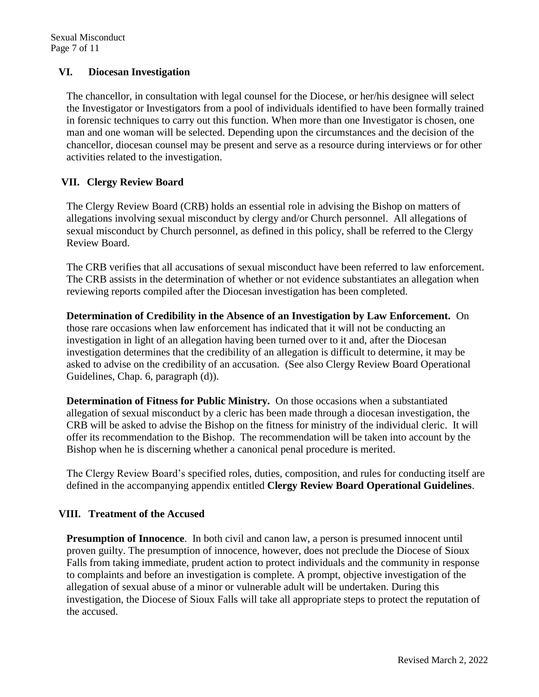## **VI. Diocesan Investigation**

The chancellor, in consultation with legal counsel for the Diocese, or her/his designee will select the Investigator or Investigators from a pool of individuals identified to have been formally trained in forensic techniques to carry out this function. When more than one Investigator is chosen, one man and one woman will be selected. Depending upon the circumstances and the decision of the chancellor, diocesan counsel may be present and serve as a resource during interviews or for other activities related to the investigation.

## **VII. Clergy Review Board**

The Clergy Review Board (CRB) holds an essential role in advising the Bishop on matters of allegations involving sexual misconduct by clergy and/or Church personnel. All allegations of sexual misconduct by Church personnel, as defined in this policy, shall be referred to the Clergy Review Board.

The CRB verifies that all accusations of sexual misconduct have been referred to law enforcement. The CRB assists in the determination of whether or not evidence substantiates an allegation when reviewing reports compiled after the Diocesan investigation has been completed.

**Determination of Credibility in the Absence of an Investigation by Law Enforcement.** On those rare occasions when law enforcement has indicated that it will not be conducting an investigation in light of an allegation having been turned over to it and, after the Diocesan investigation determines that the credibility of an allegation is difficult to determine, it may be asked to advise on the credibility of an accusation. (See also Clergy Review Board Operational Guidelines, Chap. 6, paragraph (d)).

**Determination of Fitness for Public Ministry.** On those occasions when a substantiated allegation of sexual misconduct by a cleric has been made through a diocesan investigation, the CRB will be asked to advise the Bishop on the fitness for ministry of the individual cleric. It will offer its recommendation to the Bishop. The recommendation will be taken into account by the Bishop when he is discerning whether a canonical penal procedure is merited.

The Clergy Review Board's specified roles, duties, composition, and rules for conducting itself are defined in the accompanying appendix entitled **Clergy Review Board Operational Guidelines**.

## **VIII. Treatment of the Accused**

**Presumption of Innocence**. In both civil and canon law, a person is presumed innocent until proven guilty. The presumption of innocence, however, does not preclude the Diocese of Sioux Falls from taking immediate, prudent action to protect individuals and the community in response to complaints and before an investigation is complete. A prompt, objective investigation of the allegation of sexual abuse of a minor or vulnerable adult will be undertaken. During this investigation, the Diocese of Sioux Falls will take all appropriate steps to protect the reputation of the accused.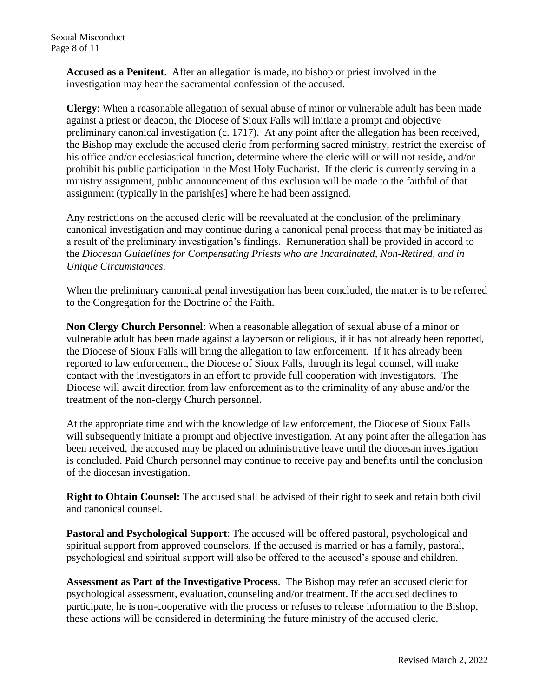**Accused as a Penitent**. After an allegation is made, no bishop or priest involved in the investigation may hear the sacramental confession of the accused.

**Clergy**: When a reasonable allegation of sexual abuse of minor or vulnerable adult has been made against a priest or deacon, the Diocese of Sioux Falls will initiate a prompt and objective preliminary canonical investigation (c. 1717). At any point after the allegation has been received, the Bishop may exclude the accused cleric from performing sacred ministry, restrict the exercise of his office and/or ecclesiastical function, determine where the cleric will or will not reside, and/or prohibit his public participation in the Most Holy Eucharist. If the cleric is currently serving in a ministry assignment, public announcement of this exclusion will be made to the faithful of that assignment (typically in the parish[es] where he had been assigned.

Any restrictions on the accused cleric will be reevaluated at the conclusion of the preliminary canonical investigation and may continue during a canonical penal process that may be initiated as a result of the preliminary investigation's findings. Remuneration shall be provided in accord to the *Diocesan Guidelines for Compensating Priests who are Incardinated, Non-Retired, and in Unique Circumstances*.

When the preliminary canonical penal investigation has been concluded, the matter is to be referred to the Congregation for the Doctrine of the Faith.

**Non Clergy Church Personnel**: When a reasonable allegation of sexual abuse of a minor or vulnerable adult has been made against a layperson or religious, if it has not already been reported, the Diocese of Sioux Falls will bring the allegation to law enforcement. If it has already been reported to law enforcement, the Diocese of Sioux Falls, through its legal counsel, will make contact with the investigators in an effort to provide full cooperation with investigators. The Diocese will await direction from law enforcement as to the criminality of any abuse and/or the treatment of the non-clergy Church personnel.

At the appropriate time and with the knowledge of law enforcement, the Diocese of Sioux Falls will subsequently initiate a prompt and objective investigation. At any point after the allegation has been received, the accused may be placed on administrative leave until the diocesan investigation is concluded. Paid Church personnel may continue to receive pay and benefits until the conclusion of the diocesan investigation.

**Right to Obtain Counsel:** The accused shall be advised of their right to seek and retain both civil and canonical counsel.

**Pastoral and Psychological Support**: The accused will be offered pastoral, psychological and spiritual support from approved counselors. If the accused is married or has a family, pastoral, psychological and spiritual support will also be offered to the accused's spouse and children.

**Assessment as Part of the Investigative Process**. The Bishop may refer an accused cleric for psychological assessment, evaluation,counseling and/or treatment. If the accused declines to participate, he is non-cooperative with the process or refuses to release information to the Bishop, these actions will be considered in determining the future ministry of the accused cleric.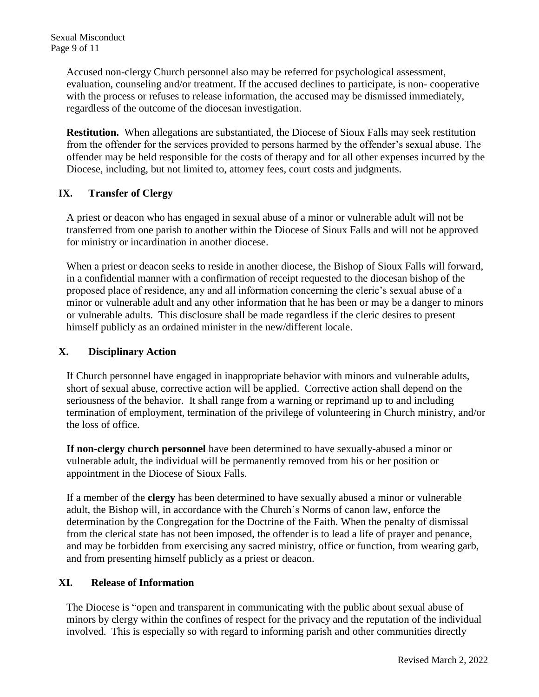Accused non-clergy Church personnel also may be referred for psychological assessment, evaluation, counseling and/or treatment. If the accused declines to participate, is non- cooperative with the process or refuses to release information, the accused may be dismissed immediately, regardless of the outcome of the diocesan investigation.

**Restitution.** When allegations are substantiated, the Diocese of Sioux Falls may seek restitution from the offender for the services provided to persons harmed by the offender's sexual abuse. The offender may be held responsible for the costs of therapy and for all other expenses incurred by the Diocese, including, but not limited to, attorney fees, court costs and judgments.

## **IX. Transfer of Clergy**

A priest or deacon who has engaged in sexual abuse of a minor or vulnerable adult will not be transferred from one parish to another within the Diocese of Sioux Falls and will not be approved for ministry or incardination in another diocese.

When a priest or deacon seeks to reside in another diocese, the Bishop of Sioux Falls will forward, in a confidential manner with a confirmation of receipt requested to the diocesan bishop of the proposed place of residence, any and all information concerning the cleric's sexual abuse of a minor or vulnerable adult and any other information that he has been or may be a danger to minors or vulnerable adults. This disclosure shall be made regardless if the cleric desires to present himself publicly as an ordained minister in the new/different locale.

## **X. Disciplinary Action**

If Church personnel have engaged in inappropriate behavior with minors and vulnerable adults, short of sexual abuse, corrective action will be applied. Corrective action shall depend on the seriousness of the behavior. It shall range from a warning or reprimand up to and including termination of employment, termination of the privilege of volunteering in Church ministry, and/or the loss of office.

**If non-clergy church personnel** have been determined to have sexually-abused a minor or vulnerable adult, the individual will be permanently removed from his or her position or appointment in the Diocese of Sioux Falls.

If a member of the **clergy** has been determined to have sexually abused a minor or vulnerable adult, the Bishop will, in accordance with the Church's Norms of canon law, enforce the determination by the Congregation for the Doctrine of the Faith. When the penalty of dismissal from the clerical state has not been imposed, the offender is to lead a life of prayer and penance, and may be forbidden from exercising any sacred ministry, office or function, from wearing garb, and from presenting himself publicly as a priest or deacon.

## **XI. Release of Information**

The Diocese is "open and transparent in communicating with the public about sexual abuse of minors by clergy within the confines of respect for the privacy and the reputation of the individual involved. This is especially so with regard to informing parish and other communities directly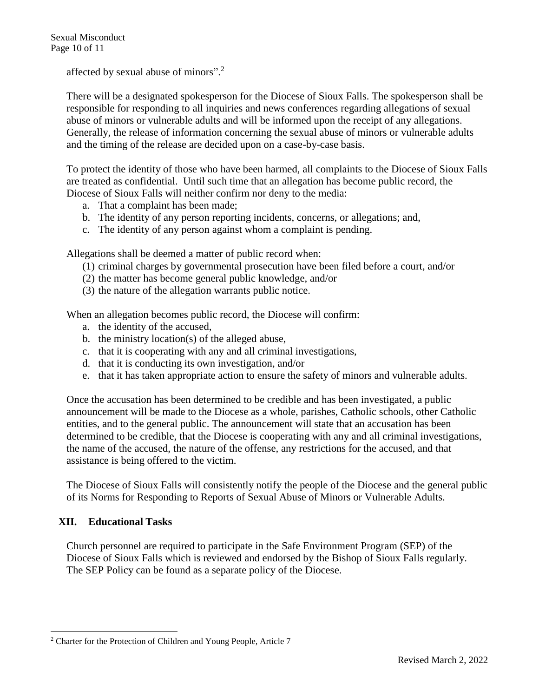Sexual Misconduct Page 10 of 11

affected by sexual abuse of minors".<sup>2</sup>

There will be a designated spokesperson for the Diocese of Sioux Falls. The spokesperson shall be responsible for responding to all inquiries and news conferences regarding allegations of sexual abuse of minors or vulnerable adults and will be informed upon the receipt of any allegations. Generally, the release of information concerning the sexual abuse of minors or vulnerable adults and the timing of the release are decided upon on a case-by-case basis.

To protect the identity of those who have been harmed, all complaints to the Diocese of Sioux Falls are treated as confidential. Until such time that an allegation has become public record, the Diocese of Sioux Falls will neither confirm nor deny to the media:

- a. That a complaint has been made;
- b. The identity of any person reporting incidents, concerns, or allegations; and,
- c. The identity of any person against whom a complaint is pending.

Allegations shall be deemed a matter of public record when:

- (1) criminal charges by governmental prosecution have been filed before a court, and/or
- (2) the matter has become general public knowledge, and/or
- (3) the nature of the allegation warrants public notice.

When an allegation becomes public record, the Diocese will confirm:

- a. the identity of the accused,
- b. the ministry location(s) of the alleged abuse,
- c. that it is cooperating with any and all criminal investigations,
- d. that it is conducting its own investigation, and/or
- e. that it has taken appropriate action to ensure the safety of minors and vulnerable adults.

Once the accusation has been determined to be credible and has been investigated, a public announcement will be made to the Diocese as a whole, parishes, Catholic schools, other Catholic entities, and to the general public. The announcement will state that an accusation has been determined to be credible, that the Diocese is cooperating with any and all criminal investigations, the name of the accused, the nature of the offense, any restrictions for the accused, and that assistance is being offered to the victim.

The Diocese of Sioux Falls will consistently notify the people of the Diocese and the general public of its Norms for Responding to Reports of Sexual Abuse of Minors or Vulnerable Adults.

## **XII. Educational Tasks**

l

Church personnel are required to participate in the Safe Environment Program (SEP) of the Diocese of Sioux Falls which is reviewed and endorsed by the Bishop of Sioux Falls regularly. The SEP Policy can be found as a separate policy of the Diocese.

<sup>2</sup> Charter for the Protection of Children and Young People, Article 7